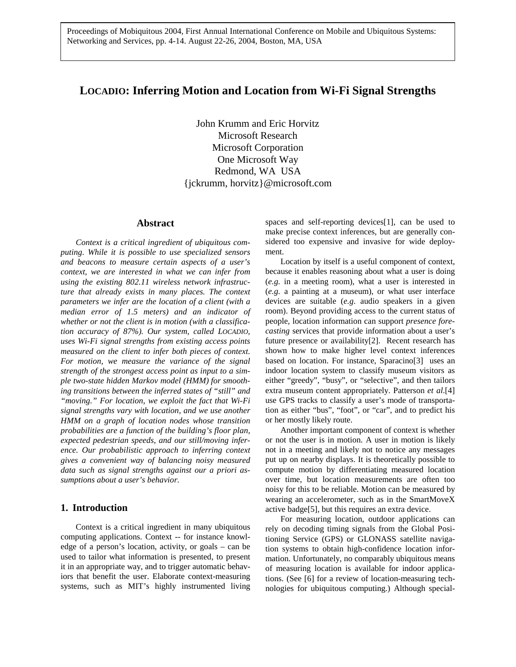Proceedings of Mobiquitous 2004, First Annual International Conference on Mobile and Ubiquitous Systems: Networking and Services, pp. 4-14. August 22-26, 2004, Boston, MA, USA

# **LOCADIO: Inferring Motion and Location from Wi-Fi Signal Strengths**

John Krumm and Eric Horvitz Microsoft Research Microsoft Corporation One Microsoft Way Redmond, WA USA {jckrumm, horvitz}@microsoft.com

## **Abstract**

*Context is a critical ingredient of ubiquitous computing. While it is possible to use specialized sensors and beacons to measure certain aspects of a user's context, we are interested in what we can infer from using the existing 802.11 wireless network infrastructure that already exists in many places. The context parameters we infer are the location of a client (with a median error of 1.5 meters) and an indicator of whether or not the client is in motion (with a classification accuracy of 87%). Our system, called LOCADIO, uses Wi-Fi signal strengths from existing access points measured on the client to infer both pieces of context. For motion, we measure the variance of the signal strength of the strongest access point as input to a simple two-state hidden Markov model (HMM) for smoothing transitions between the inferred states of "still" and "moving." For location, we exploit the fact that Wi-Fi signal strengths vary with location, and we use another HMM on a graph of location nodes whose transition probabilities are a function of the building's floor plan, expected pedestrian speeds, and our still/moving inference. Our probabilistic approach to inferring context gives a convenient way of balancing noisy measured data such as signal strengths against our a priori assumptions about a user's behavior.* 

## **1. Introduction**

Context is a critical ingredient in many ubiquitous computing applications. Context -- for instance knowledge of a person's location, activity, or goals – can be used to tailor what information is presented, to present it in an appropriate way, and to trigger automatic behaviors that benefit the user. Elaborate context-measuring systems, such as MIT's highly instrumented living spaces and self-reporting devices[1], can be used to make precise context inferences, but are generally considered too expensive and invasive for wide deployment.

Location by itself is a useful component of context, because it enables reasoning about what a user is doing (*e.g.* in a meeting room), what a user is interested in (*e.g.* a painting at a museum), or what user interface devices are suitable (*e.g.* audio speakers in a given room). Beyond providing access to the current status of people, location information can support *presence forecasting* services that provide information about a user's future presence or availability[2]. Recent research has shown how to make higher level context inferences based on location. For instance, Sparacino[3] uses an indoor location system to classify museum visitors as either "greedy", "busy", or "selective", and then tailors extra museum content appropriately. Patterson *et al*.[4] use GPS tracks to classify a user's mode of transportation as either "bus", "foot", or "car", and to predict his or her mostly likely route.

Another important component of context is whether or not the user is in motion. A user in motion is likely not in a meeting and likely not to notice any messages put up on nearby displays. It is theoretically possible to compute motion by differentiating measured location over time, but location measurements are often too noisy for this to be reliable. Motion can be measured by wearing an accelerometer, such as in the SmartMoveX active badge[5], but this requires an extra device.

For measuring location, outdoor applications can rely on decoding timing signals from the Global Positioning Service (GPS) or GLONASS satellite navigation systems to obtain high-confidence location information. Unfortunately, no comparably ubiquitous means of measuring location is available for indoor applications. (See [6] for a review of location-measuring technologies for ubiquitous computing.) Although special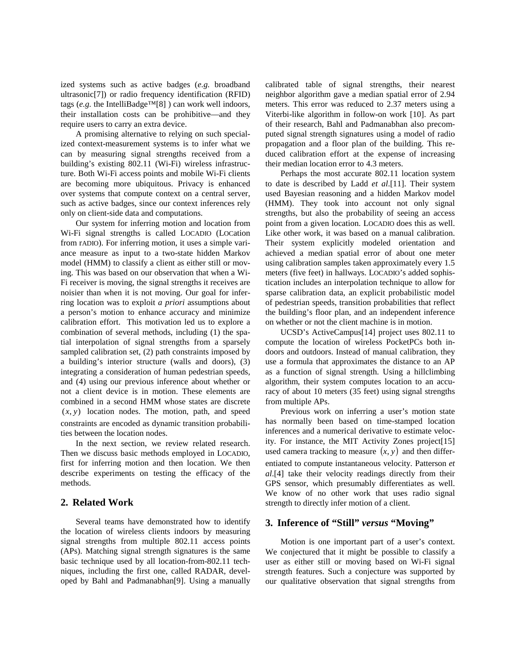ized systems such as active badges (*e.g.* broadband ultrasonic[7]) or radio frequency identification (RFID) tags (*e.g.* the IntelliBadge<sup>TM[8]</sup>) can work well indoors, their installation costs can be prohibitive—and they require users to carry an extra device.

A promising alternative to relying on such specialized context-measurement systems is to infer what we can by measuring signal strengths received from a building's existing 802.11 (Wi-Fi) wireless infrastructure. Both Wi-Fi access points and mobile Wi-Fi clients are becoming more ubiquitous. Privacy is enhanced over systems that compute context on a central server, such as active badges, since our context inferences rely only on client-side data and computations.

Our system for inferring motion and location from Wi-Fi signal strengths is called LOCADIO (LOCation from rADIO). For inferring motion, it uses a simple variance measure as input to a two-state hidden Markov model (HMM) to classify a client as either still or moving. This was based on our observation that when a Wi-Fi receiver is moving, the signal strengths it receives are noisier than when it is not moving. Our goal for inferring location was to exploit *a priori* assumptions about a person's motion to enhance accuracy and minimize calibration effort. This motivation led us to explore a combination of several methods, including (1) the spatial interpolation of signal strengths from a sparsely sampled calibration set, (2) path constraints imposed by a building's interior structure (walls and doors), (3) integrating a consideration of human pedestrian speeds, and (4) using our previous inference about whether or not a client device is in motion. These elements are combined in a second HMM whose states are discrete  $(x, y)$  location nodes. The motion, path, and speed constraints are encoded as dynamic transition probabilities between the location nodes.

In the next section, we review related research. Then we discuss basic methods employed in LOCADIO, first for inferring motion and then location. We then describe experiments on testing the efficacy of the methods.

## **2. Related Work**

Several teams have demonstrated how to identify the location of wireless clients indoors by measuring signal strengths from multiple 802.11 access points (APs). Matching signal strength signatures is the same basic technique used by all location-from-802.11 techniques, including the first one, called RADAR, developed by Bahl and Padmanabhan[9]. Using a manually calibrated table of signal strengths, their nearest neighbor algorithm gave a median spatial error of 2.94 meters. This error was reduced to 2.37 meters using a Viterbi-like algorithm in follow-on work [10]. As part of their research, Bahl and Padmanabhan also precomputed signal strength signatures using a model of radio propagation and a floor plan of the building. This reduced calibration effort at the expense of increasing their median location error to 4.3 meters.

Perhaps the most accurate 802.11 location system to date is described by Ladd *et al*.[11]. Their system used Bayesian reasoning and a hidden Markov model (HMM). They took into account not only signal strengths, but also the probability of seeing an access point from a given location. LOCADIO does this as well. Like other work, it was based on a manual calibration. Their system explicitly modeled orientation and achieved a median spatial error of about one meter using calibration samples taken approximately every 1.5 meters (five feet) in hallways. LOCADIO's added sophistication includes an interpolation technique to allow for sparse calibration data, an explicit probabilistic model of pedestrian speeds, transition probabilities that reflect the building's floor plan, and an independent inference on whether or not the client machine is in motion.

UCSD's ActiveCampus[14] project uses 802.11 to compute the location of wireless PocketPCs both indoors and outdoors. Instead of manual calibration, they use a formula that approximates the distance to an AP as a function of signal strength. Using a hillclimbing algorithm, their system computes location to an accuracy of about 10 meters (35 feet) using signal strengths from multiple APs.

Previous work on inferring a user's motion state has normally been based on time-stamped location inferences and a numerical derivative to estimate velocity. For instance, the MIT Activity Zones project[15] used camera tracking to measure  $(x, y)$  and then differentiated to compute instantaneous velocity. Patterson *et al*.[4] take their velocity readings directly from their GPS sensor, which presumably differentiates as well. We know of no other work that uses radio signal strength to directly infer motion of a client.

# **3. Inference of "Still"** *versus* **"Moving"**

Motion is one important part of a user's context. We conjectured that it might be possible to classify a user as either still or moving based on Wi-Fi signal strength features. Such a conjecture was supported by our qualitative observation that signal strengths from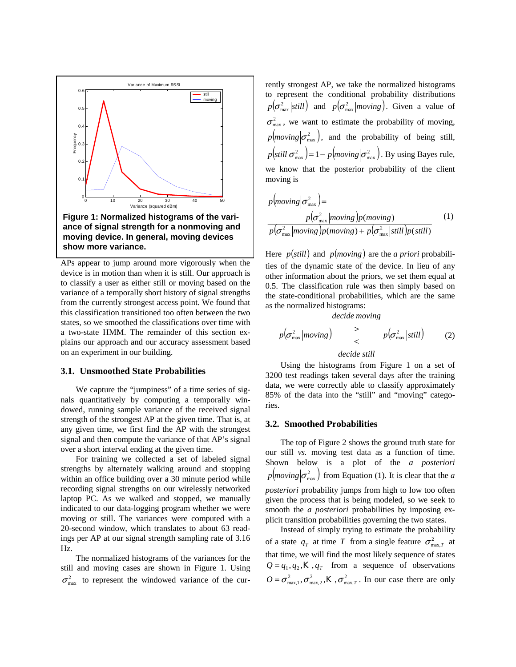

APs appear to jump around more vigorously when the device is in motion than when it is still. Our approach is to classify a user as either still or moving based on the variance of a temporally short history of signal strengths from the currently strongest access point. We found that this classification transitioned too often between the two states, so we smoothed the classifications over time with a two-state HMM. The remainder of this section explains our approach and our accuracy assessment based on an experiment in our building.

#### **3.1. Unsmoothed State Probabilities**

We capture the "jumpiness" of a time series of signals quantitatively by computing a temporally windowed, running sample variance of the received signal strength of the strongest AP at the given time. That is, at any given time, we first find the AP with the strongest signal and then compute the variance of that AP's signal over a short interval ending at the given time.

For training we collected a set of labeled signal strengths by alternately walking around and stopping within an office building over a 30 minute period while recording signal strengths on our wirelessly networked laptop PC. As we walked and stopped, we manually indicated to our data-logging program whether we were moving or still. The variances were computed with a 20-second window, which translates to about 63 readings per AP at our signal strength sampling rate of 3.16 Hz.

The normalized histograms of the variances for the still and moving cases are shown in Figure 1. Using  $\sigma_{\text{max}}^2$  to represent the windowed variance of the currently strongest AP, we take the normalized histograms to represent the conditional probability distributions  $p(\sigma_{\text{max}}^2 | still)$  and  $p(\sigma_{\text{max}}^2 | moving)$ . Given a value of  $\sigma_{\text{max}}^2$ , we want to estimate the probability of moving,  $p(moving | \sigma_{\text{max}}^2)$ , and the probability of being still,  $p\left(\text{still}|\sigma_{\text{max}}^2\right) = 1 - p\left(\text{moving}|\sigma_{\text{max}}^2\right)$ . By using Bayes rule, we know that the posterior probability of the client moving is

$$
p(moving | \sigma_{\text{max}}^2) =
$$
  
\n
$$
p(\sigma_{\text{max}}^2 | moving) p(moving)
$$
  
\n
$$
p(\sigma_{\text{max}}^2 | moving) p(moving) + p(\sigma_{\text{max}}^2 | still) p(still)
$$
\n(1)

Here  $p(still)$  and  $p(moving)$  are the *a priori* probabilities of the dynamic state of the device. In lieu of any other information about the priors, we set them equal at 0.5. The classification rule was then simply based on the state-conditional probabilities, which are the same as the normalized histograms:

*decide moving*

$$
p(\sigma_{\max}^2 | moving)
$$
  $\rightarrow$   $p(\sigma_{\max}^2 |still)$  (2)

### *decide still*

Using the histograms from Figure 1 on a set of 3200 test readings taken several days after the training data, we were correctly able to classify approximately 85% of the data into the "still" and "moving" categories.

#### **3.2. Smoothed Probabilities**

The top of Figure 2 shows the ground truth state for our still *vs.* moving test data as a function of time. Shown below is a plot of the *a posteriori*  $p \left( \frac{m}{m} \right) \left( \frac{\sigma^2}{m \alpha x} \right)$  from Equation (1). It is clear that the *a posteriori* probability jumps from high to low too often given the process that is being modeled, so we seek to smooth the *a posteriori* probabilities by imposing explicit transition probabilities governing the two states.

Instead of simply trying to estimate the probability of a state  $q_T$  at time T from a single feature  $\sigma_{\max,T}^2$  at that time, we will find the most likely sequence of states  $Q = q_1, q_2, K, q_r$  from a sequence of observations  $Q = \sigma_{\max,1}^2, \sigma_{\max,2}^2, K, \sigma_{\max,T}^2$ . In our case there are only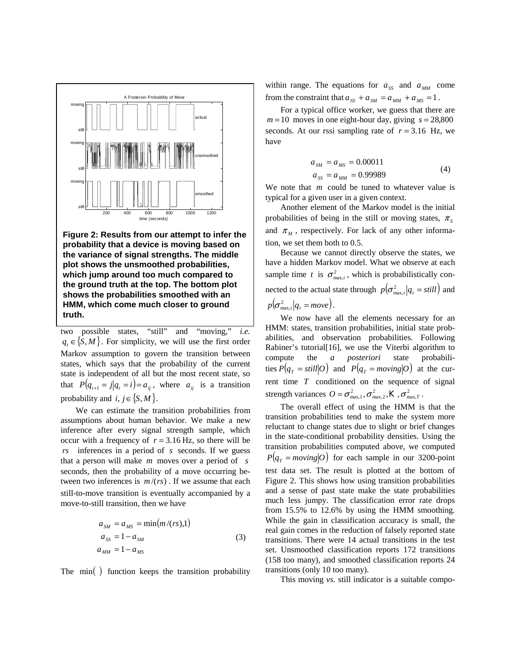

**Figure 2: Results from our attempt to infer the probability that a device is moving based on the variance of signal strengths. The middle plot shows the unsmoothed probabilities, which jump around too much compared to the ground truth at the top. The bottom plot shows the probabilities smoothed with an HMM, which come much closer to ground truth.** 

two possible states, "still" and "moving," *i.e.*  $q_t \in \{ S, M \}$ . For simplicity, we will use the first order Markov assumption to govern the transition between states, which says that the probability of the current state is independent of all but the most recent state, so that  $P(q_{t+1} = j|q_t = i) = a_{ij}$ , where  $a_{ij}$  is a transition probability and *i*,  $j \in \{S, M\}$ .

We can estimate the transition probabilities from assumptions about human behavior. We make a new inference after every signal strength sample, which occur with a frequency of  $r = 3.16$  Hz, so there will be *rs* inferences in a period of *s* seconds. If we guess that a person will make *m* moves over a period of *s* seconds, then the probability of a move occurring between two inferences is *m* /(*rs*) . If we assume that each still-to-move transition is eventually accompanied by a move-to-still transition, then we have

$$
a_{SM} = a_{MS} = \min(m/(rs), 1)
$$
  
\n
$$
a_{SS} = 1 - a_{SM}
$$
  
\n
$$
a_{MM} = 1 - a_{MS}
$$
\n(3)

The min() function keeps the transition probability

within range. The equations for  $a_{ss}$  and  $a_{MN}$  come from the constraint that  $a_{ss} + a_{SM} = a_{MM} + a_{MS} = 1$ .

For a typical office worker, we guess that there are  $m = 10$  moves in one eight-hour day, giving  $s = 28,800$ seconds. At our rssi sampling rate of  $r = 3.16$  Hz, we have

$$
a_{SM} = a_{MS} = 0.00011
$$
  
\n
$$
a_{SS} = a_{MM} = 0.99989
$$
\n(4)

We note that *m* could be tuned to whatever value is typical for a given user in a given context.

Another element of the Markov model is the initial probabilities of being in the still or moving states,  $\pi_s$ and  $\pi_M$ , respectively. For lack of any other information, we set them both to 0.5.

Because we cannot directly observe the states, we have a hidden Markov model. What we observe at each sample time *t* is  $\sigma_{\max,t}^2$ , which is probabilistically connected to the actual state through  $p(\sigma_{\max,t}^2 | q_t = \text{still})$  and  $p(\sigma_{\max,t}^2 | q_t = move).$ 

We now have all the elements necessary for an HMM: states, transition probabilities, initial state probabilities, and observation probabilities. Following Rabiner's tutorial[16], we use the Viterbi algorithm to compute the *a posteriori* state probabili- $P(q_T = still | O)$  and  $P(q_T = moving | O)$  at the current time *T* conditioned on the sequence of signal strength variances  $O = \sigma_{\max,1}^2, \sigma_{\max,2}^2, K, \sigma_{\max, T}^2$ .

The overall effect of using the HMM is that the transition probabilities tend to make the system more reluctant to change states due to slight or brief changes in the state-conditional probability densities. Using the transition probabilities computed above, we computed  $P(q_T = moving | O)$  for each sample in our 3200-point test data set. The result is plotted at the bottom of Figure 2. This shows how using transition probabilities and a sense of past state make the state probabilities much less jumpy. The classification error rate drops from 15.5% to 12.6% by using the HMM smoothing. While the gain in classification accuracy is small, the real gain comes in the reduction of falsely reported state transitions. There were 14 actual transitions in the test set. Unsmoothed classification reports 172 transitions (158 too many), and smoothed classification reports 24 transitions (only 10 too many).

This moving *vs.* still indicator is a suitable compo-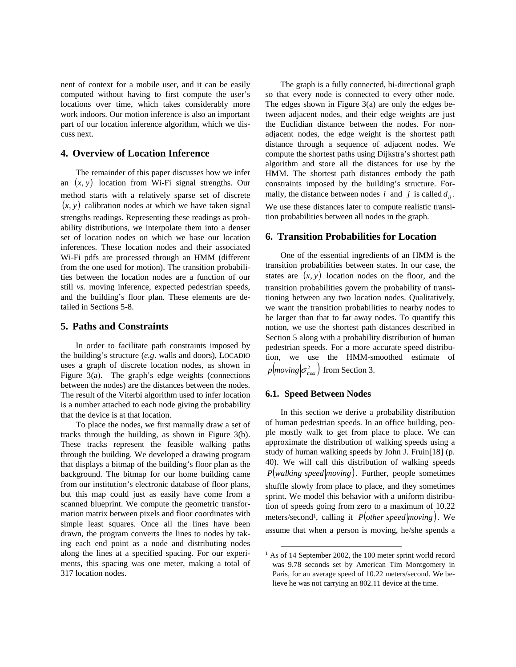nent of context for a mobile user, and it can be easily computed without having to first compute the user's locations over time, which takes considerably more work indoors. Our motion inference is also an important part of our location inference algorithm, which we discuss next.

## **4. Overview of Location Inference**

The remainder of this paper discusses how we infer an  $(x, y)$  location from Wi-Fi signal strengths. Our method starts with a relatively sparse set of discrete  $(x, y)$  calibration nodes at which we have taken signal strengths readings. Representing these readings as probability distributions, we interpolate them into a denser set of location nodes on which we base our location inferences. These location nodes and their associated Wi-Fi pdfs are processed through an HMM (different from the one used for motion). The transition probabilities between the location nodes are a function of our still *vs.* moving inference, expected pedestrian speeds, and the building's floor plan. These elements are detailed in Sections 5-8.

## **5. Paths and Constraints**

In order to facilitate path constraints imposed by the building's structure (*e.g*. walls and doors), LOCADIO uses a graph of discrete location nodes, as shown in Figure 3(a). The graph's edge weights (connections between the nodes) are the distances between the nodes. The result of the Viterbi algorithm used to infer location is a number attached to each node giving the probability that the device is at that location.

To place the nodes, we first manually draw a set of tracks through the building, as shown in Figure 3(b). These tracks represent the feasible walking paths through the building. We developed a drawing program that displays a bitmap of the building's floor plan as the background. The bitmap for our home building came from our institution's electronic database of floor plans, but this map could just as easily have come from a scanned blueprint. We compute the geometric transformation matrix between pixels and floor coordinates with simple least squares. Once all the lines have been drawn, the program converts the lines to nodes by taking each end point as a node and distributing nodes along the lines at a specified spacing. For our experiments, this spacing was one meter, making a total of 317 location nodes.

The graph is a fully connected, bi-directional graph so that every node is connected to every other node. The edges shown in Figure 3(a) are only the edges between adjacent nodes, and their edge weights are just the Euclidian distance between the nodes. For nonadjacent nodes, the edge weight is the shortest path distance through a sequence of adjacent nodes. We compute the shortest paths using Dijkstra's shortest path algorithm and store all the distances for use by the HMM. The shortest path distances embody the path constraints imposed by the building's structure. Formally, the distance between nodes *i* and *j* is called  $d_{ij}$ . We use these distances later to compute realistic transition probabilities between all nodes in the graph.

### **6. Transition Probabilities for Location**

One of the essential ingredients of an HMM is the transition probabilities between states. In our case, the states are  $(x, y)$  location nodes on the floor, and the transition probabilities govern the probability of transitioning between any two location nodes. Qualitatively, we want the transition probabilities to nearby nodes to be larger than that to far away nodes. To quantify this notion, we use the shortest path distances described in Section 5 along with a probability distribution of human pedestrian speeds. For a more accurate speed distribution, we use the HMM-smoothed estimate of  $p(\text{moving} | \sigma_{\text{max}}^2)$  from Section 3.

## **6.1. Speed Between Nodes**

In this section we derive a probability distribution of human pedestrian speeds. In an office building, people mostly walk to get from place to place. We can approximate the distribution of walking speeds using a study of human walking speeds by John J. Fruin[18] (p. 40). We will call this distribution of walking speeds  $P(walking speed | moving)$ . Further, people sometimes shuffle slowly from place to place, and they sometimes sprint. We model this behavior with a uniform distribution of speeds going from zero to a maximum of 10.22 meters/second<sup>1</sup>, calling it *P*(*other speed moving*). We assume that when a person is moving, he/she spends a

<sup>&</sup>lt;sup>1</sup> As of 14 September 2002, the 100 meter sprint world record was 9.78 seconds set by American Tim Montgomery in Paris, for an average speed of 10.22 meters/second. We believe he was not carrying an 802.11 device at the time.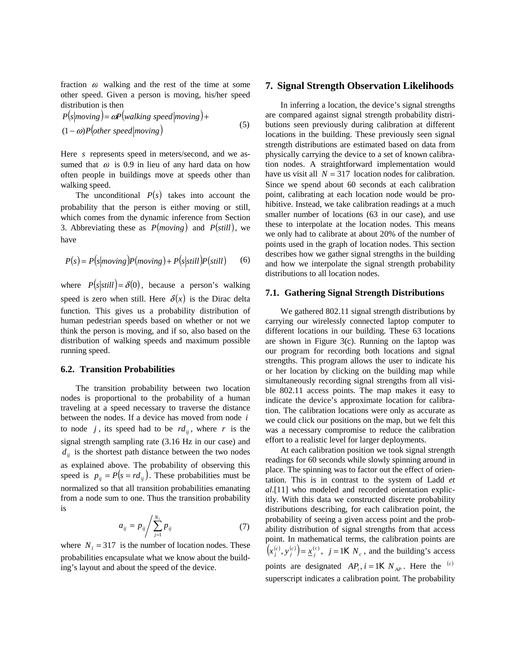fraction  $\omega$  walking and the rest of the time at some other speed. Given a person is moving, his/her speed distribution is then

$$
P(s|moving) = \omega P(walking speed|moving) +
$$
  
(1- $\omega$ )P(other speed|moving) (5)

Here *s* represents speed in meters/second, and we assumed that  $\omega$  is 0.9 in lieu of any hard data on how often people in buildings move at speeds other than walking speed.

The unconditional  $P(s)$  takes into account the probability that the person is either moving or still, which comes from the dynamic inference from Section 3. Abbreviating these as  $P(moving)$  and  $P(still)$ , we have

$$
P(s) = P(s|moving)P(moving) + P(s|still)P(still)
$$
 (6)

where  $P(s|still) = \delta(0)$ , because a person's walking speed is zero when still. Here  $\delta(x)$  is the Dirac delta function. This gives us a probability distribution of human pedestrian speeds based on whether or not we think the person is moving, and if so, also based on the distribution of walking speeds and maximum possible running speed.

### **6.2. Transition Probabilities**

The transition probability between two location nodes is proportional to the probability of a human traveling at a speed necessary to traverse the distance between the nodes. If a device has moved from node *i* to node *j*, its speed had to be  $rd_{ij}$ , where *r* is the signal strength sampling rate (3.16 Hz in our case) and  $d_{ij}$  is the shortest path distance between the two nodes as explained above. The probability of observing this speed is  $p_{ij} = P(s = rd_{ij})$ . These probabilities must be normalized so that all transition probabilities emanating from a node sum to one. Thus the transition probability is

$$
a_{ij} = p_{ij} / \sum_{j=1}^{N_i} p_{ij}
$$
 (7)

where  $N_l = 317$  is the number of location nodes. These probabilities encapsulate what we know about the building's layout and about the speed of the device.

#### **7. Signal Strength Observation Likelihoods**

In inferring a location, the device's signal strengths are compared against signal strength probability distributions seen previously during calibration at different locations in the building. These previously seen signal strength distributions are estimated based on data from physically carrying the device to a set of known calibration nodes. A straightforward implementation would have us visit all  $N = 317$  *location nodes for calibration.* Since we spend about 60 seconds at each calibration point, calibrating at each location node would be prohibitive. Instead, we take calibration readings at a much smaller number of locations (63 in our case), and use these to interpolate at the location nodes. This means we only had to calibrate at about 20% of the number of points used in the graph of location nodes. This section describes how we gather signal strengths in the building and how we interpolate the signal strength probability distributions to all location nodes.

#### **7.1. Gathering Signal Strength Distributions**

We gathered 802.11 signal strength distributions by carrying our wirelessly connected laptop computer to different locations in our building. These 63 locations are shown in Figure 3(c). Running on the laptop was our program for recording both locations and signal strengths. This program allows the user to indicate his or her location by clicking on the building map while simultaneously recording signal strengths from all visible 802.11 access points. The map makes it easy to indicate the device's approximate location for calibration. The calibration locations were only as accurate as we could click our positions on the map, but we felt this was a necessary compromise to reduce the calibration effort to a realistic level for larger deployments.

At each calibration position we took signal strength readings for 60 seconds while slowly spinning around in place. The spinning was to factor out the effect of orientation. This is in contrast to the system of Ladd *et al*.[11] who modeled and recorded orientation explicitly. With this data we constructed discrete probability distributions describing, for each calibration point, the probability of seeing a given access point and the probability distribution of signal strengths from that access point. In mathematical terms, the calibration points are  $(x_j^{(c)}, y_j^{(c)}) = \underline{x}_j^{(c)}$ ,  $j = 1K N_c$ , and the building's access points are designated  $AP_i$ ,  $i = 1K N_{AP}$ . Here the <sup>(c)</sup> superscript indicates a calibration point. The probability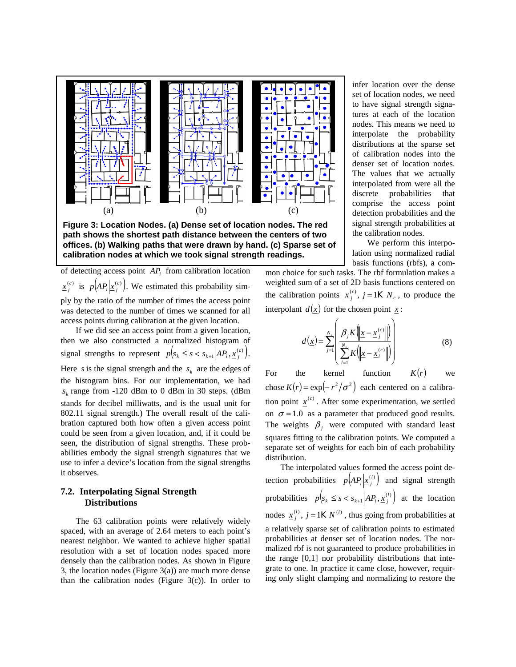

**Figure 3: Location Nodes. (a) Dense set of location nodes. The red path shows the shortest path distance between the centers of two offices. (b) Walking paths that were drawn by hand. (c) Sparse set of calibration nodes at which we took signal strength readings.** 

of detecting access point *APi* from calibration location  $\frac{x^{(c)}}{j}$  is  $p(AP_i|\underline{x}^{(c)}_j)$ . We estimated this probability simply by the ratio of the number of times the access point was detected to the number of times we scanned for all access points during calibration at the given location.

If we did see an access point from a given location, then we also constructed a normalized histogram of signal strengths to represent  $p(s_k \leq s < s_{k+1} | AP_i, \underline{x}_j^{(c)})$ . Here *s* is the signal strength and the  $s_k$  are the edges of the histogram bins. For our implementation, we had  $s_k$  range from -120 dBm to 0 dBm in 30 steps. (dBm stands for decibel milliwatts, and is the usual unit for 802.11 signal strength.) The overall result of the calibration captured both how often a given access point could be seen from a given location, and, if it could be seen, the distribution of signal strengths. These probabilities embody the signal strength signatures that we use to infer a device's location from the signal strengths it observes.

# **7.2. Interpolating Signal Strength Distributions**

The 63 calibration points were relatively widely spaced, with an average of 2.64 meters to each point's nearest neighbor. We wanted to achieve higher spatial resolution with a set of location nodes spaced more densely than the calibration nodes. As shown in Figure 3, the location nodes (Figure 3(a)) are much more dense than the calibration nodes (Figure  $3(c)$ ). In order to infer location over the dense set of location nodes, we need to have signal strength signatures at each of the location nodes. This means we need to interpolate the probability distributions at the sparse set of calibration nodes into the denser set of location nodes. The values that we actually interpolated from were all the discrete probabilities that comprise the access point detection probabilities and the signal strength probabilities at the calibration nodes.

We perform this interpolation using normalized radial basis functions (rbfs), a com-

mon choice for such tasks. The rbf formulation makes a weighted sum of a set of 2D basis functions centered on the calibration points  $\underline{x}^{(c)}_j$ ,  $j = 1K N_c$ , to produce the interpolant  $d(x)$  for the chosen point  $\underline{x}$ :

$$
d(\underline{x}) = \sum_{j=1}^{N_c} \left( \frac{\beta_j K \left( \left\| \underline{x} - \underline{x}_j^{(c)} \right\| \right)}{\sum_{l=1}^{N_c} K \left( \left\| \underline{x} - \underline{x}_l^{(c)} \right\| \right)} \right) \tag{8}
$$

For the kernel function  $K(r)$  we chose  $K(r) = \exp(-r^2/\sigma^2)$  each centered on a calibration point  $x^{(c)}$ . After some experimentation, we settled on  $\sigma = 1.0$  as a parameter that produced good results. The weights  $\beta_j$  were computed with standard least squares fitting to the calibration points. We computed a separate set of weights for each bin of each probability distribution.

The interpolated values formed the access point detection probabilities  $p(A P_i | \underline{x}_j^{(l)})$  and signal strength probabilities  $p(s_k \leq s < s_{k+1} | AP_i, \underline{x}_j^{(l)})$  at the location nodes  $\underline{x}_j^{(l)}$ ,  $j = 1 K N^{(l)}$ , thus going from probabilities at a relatively sparse set of calibration points to estimated probabilities at denser set of location nodes. The normalized rbf is not guaranteed to produce probabilities in the range [0,1] nor probability distributions that integrate to one. In practice it came close, however, requiring only slight clamping and normalizing to restore the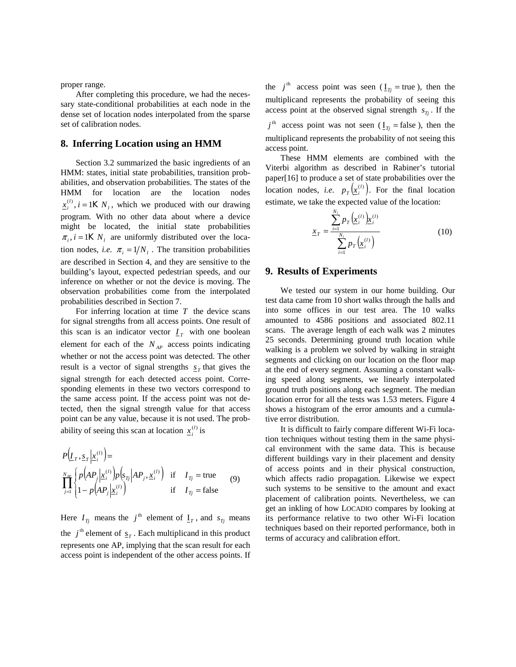proper range.

After completing this procedure, we had the necessary state-conditional probabilities at each node in the dense set of location nodes interpolated from the sparse set of calibration nodes.

#### **8. Inferring Location using an HMM**

Section 3.2 summarized the basic ingredients of an HMM: states, initial state probabilities, transition probabilities, and observation probabilities. The states of the HMM for location are the location nodes  $\underline{x}_i^{(l)}$ , *i* = 1K  $N_l$ , which we produced with our drawing program. With no other data about where a device might be located, the initial state probabilities  $\pi_i$ ,  $i = 1K N_i$  are uniformly distributed over the location nodes, *i.e.*  $\pi_i = 1/N_i$ . The transition probabilities are described in Section 4, and they are sensitive to the building's layout, expected pedestrian speeds, and our inference on whether or not the device is moving. The observation probabilities come from the interpolated probabilities described in Section 7.

For inferring location at time *T* the device scans for signal strengths from all access points. One result of this scan is an indicator vector  $I<sub>T</sub>$  with one boolean element for each of the  $N_{AP}$  access points indicating whether or not the access point was detected. The other result is a vector of signal strengths  $s<sub>r</sub>$  that gives the signal strength for each detected access point. Corresponding elements in these two vectors correspond to the same access point. If the access point was not detected, then the signal strength value for that access point can be any value, because it is not used. The probability of seeing this scan at location  $\underline{x}_i^{(l)}$  is

$$
P(I_T, \underline{s}_T | \underline{x}_i^{(l)} ) =
$$
  
\n
$$
\prod_{j=1}^{N_{AP}} \left\{ p(AP_j | \underline{x}_i^{(l)} ) p(s_{Tj} | AP_j, \underline{x}_i^{(l)} ) \text{ if } I_{Tj} = \text{true } \atop 1 - p(AP_j | \underline{x}_i^{(l)} ) \text{ if } I_{Tj} = \text{false } (9)
$$

Here  $I_{Tj}$  means the  $j^{\text{th}}$  element of  $I_{Tj}$ , and  $s_{Tj}$  means the  $j^{\text{th}}$  element of  $s_r$ . Each multiplicand in this product represents one AP, implying that the scan result for each access point is independent of the other access points. If the  $j^{\text{th}}$  access point was seen ( $I_{\text{Ti}}$  = true), then the multiplicand represents the probability of seeing this access point at the observed signal strength  $s_{T_i}$ . If the

 $j<sup>th</sup>$  access point was not seen ( $I<sub>Tj</sub>$  = false), then the multiplicand represents the probability of not seeing this access point.

These HMM elements are combined with the Viterbi algorithm as described in Rabiner's tutorial paper[16] to produce a set of state probabilities over the location nodes, *i.e.*  $p_T(\underline{x}_i^{(l)})$ . For the final location estimate, we take the expected value of the location:

$$
\underline{x}_{T} = \frac{\sum_{i=1}^{N_{l}} p_{T} (\underline{x}_{i}^{(l)}) \underline{x}_{i}^{(l)}}{\sum_{i=1}^{N_{l}} p_{T} (\underline{x}_{i}^{(l)})}
$$
(10)

### **9. Results of Experiments**

We tested our system in our home building. Our test data came from 10 short walks through the halls and into some offices in our test area. The 10 walks amounted to 4586 positions and associated 802.11 scans. The average length of each walk was 2 minutes 25 seconds. Determining ground truth location while walking is a problem we solved by walking in straight segments and clicking on our location on the floor map at the end of every segment. Assuming a constant walking speed along segments, we linearly interpolated ground truth positions along each segment. The median location error for all the tests was 1.53 meters. Figure 4 shows a histogram of the error amounts and a cumulative error distribution.

It is difficult to fairly compare different Wi-Fi location techniques without testing them in the same physical environment with the same data. This is because different buildings vary in their placement and density of access points and in their physical construction, which affects radio propagation. Likewise we expect such systems to be sensitive to the amount and exact placement of calibration points. Nevertheless, we can get an inkling of how LOCADIO compares by looking at its performance relative to two other Wi-Fi location techniques based on their reported performance, both in terms of accuracy and calibration effort.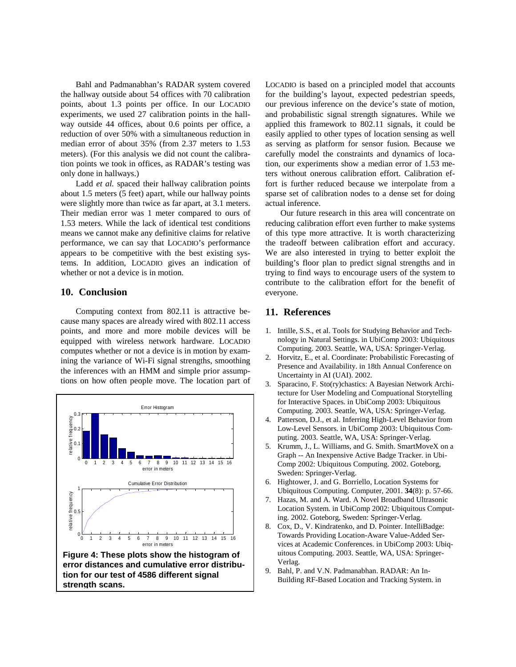Bahl and Padmanabhan's RADAR system covered the hallway outside about 54 offices with 70 calibration points, about 1.3 points per office. In our LOCADIO experiments, we used 27 calibration points in the hallway outside 44 offices, about 0.6 points per office, a reduction of over 50% with a simultaneous reduction in median error of about 35% (from 2.37 meters to 1.53 meters). (For this analysis we did not count the calibration points we took in offices, as RADAR's testing was only done in hallways.)

Ladd *et al.* spaced their hallway calibration points about 1.5 meters (5 feet) apart, while our hallway points were slightly more than twice as far apart, at 3.1 meters. Their median error was 1 meter compared to ours of 1.53 meters. While the lack of identical test conditions means we cannot make any definitive claims for relative performance, we can say that LOCADIO's performance appears to be competitive with the best existing systems. In addition, LOCADIO gives an indication of whether or not a device is in motion.

# **10. Conclusion**

Computing context from 802.11 is attractive because many spaces are already wired with 802.11 access points, and more and more mobile devices will be equipped with wireless network hardware. LOCADIO computes whether or not a device is in motion by examining the variance of Wi-Fi signal strengths, smoothing the inferences with an HMM and simple prior assumptions on how often people move. The location part of



LOCADIO is based on a principled model that accounts for the building's layout, expected pedestrian speeds, our previous inference on the device's state of motion, and probabilistic signal strength signatures. While we applied this framework to 802.11 signals, it could be easily applied to other types of location sensing as well as serving as platform for sensor fusion. Because we carefully model the constraints and dynamics of location, our experiments show a median error of 1.53 meters without onerous calibration effort. Calibration effort is further reduced because we interpolate from a sparse set of calibration nodes to a dense set for doing actual inference.

Our future research in this area will concentrate on reducing calibration effort even further to make systems of this type more attractive. It is worth characterizing the tradeoff between calibration effort and accuracy. We are also interested in trying to better exploit the building's floor plan to predict signal strengths and in trying to find ways to encourage users of the system to contribute to the calibration effort for the benefit of everyone.

# **11. References**

- 1. Intille, S.S., et al. Tools for Studying Behavior and Technology in Natural Settings. in UbiComp 2003: Ubiquitous Computing. 2003. Seattle, WA, USA: Springer-Verlag.
- 2. Horvitz, E., et al. Coordinate: Probabilistic Forecasting of Presence and Availability. in 18th Annual Conference on Uncertainty in AI (UAI). 2002.
- 3. Sparacino, F. Sto(ry)chastics: A Bayesian Network Architecture for User Modeling and Compuational Storytelling for Interactive Spaces. in UbiComp 2003: Ubiquitous Computing. 2003. Seattle, WA, USA: Springer-Verlag.
- 4. Patterson, D.J., et al. Inferring High-Level Behavior from Low-Level Sensors. in UbiComp 2003: Ubiquitous Computing. 2003. Seattle, WA, USA: Springer-Verlag.
- 5. Krumm, J., L. Williams, and G. Smith. SmartMoveX on a Graph -- An Inexpensive Active Badge Tracker. in Ubi-Comp 2002: Ubiquitous Computing. 2002. Goteborg, Sweden: Springer-Verlag.
- 6. Hightower, J. and G. Borriello, Location Systems for Ubiquitous Computing. Computer, 2001. **34**(8): p. 57-66.
- 7. Hazas, M. and A. Ward. A Novel Broadband Ultrasonic Location System. in UbiComp 2002: Ubiquitous Computing. 2002. Goteborg, Sweden: Springer-Verlag.
- 8. Cox, D., V. Kindratenko, and D. Pointer. IntelliBadge: Towards Providing Location-Aware Value-Added Services at Academic Conferences. in UbiComp 2003: Ubiquitous Computing. 2003. Seattle, WA, USA: Springer-Verlag.
- 9. Bahl, P. and V.N. Padmanabhan. RADAR: An In-Building RF-Based Location and Tracking System. in